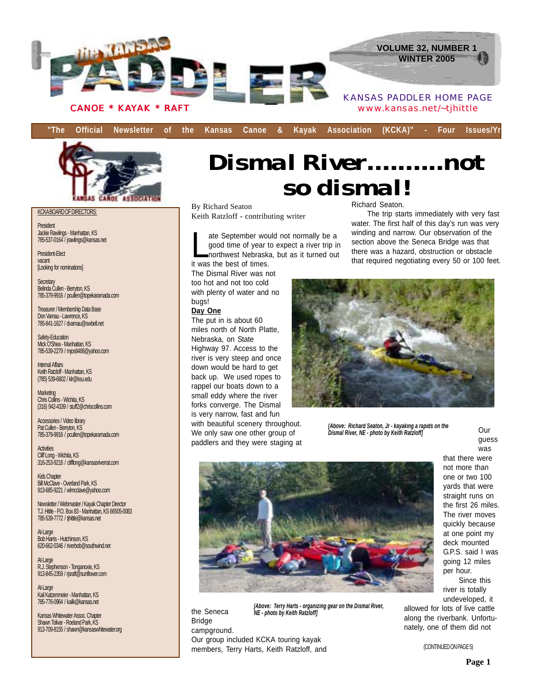

KCKA BOARD OF DIRECTORS:

President Jackie Rawlings - Manhattan, KS 785-537-0164 / jrawlings@kansas.net

President-Elect vacant [Looking for nominations]

Secretary Belinda Cullen - Berryton, KS 785-379-9916 / pcullen@topekaramada.com

Treasurer / Membership Data Base Don Varnau - Lawrence, KS 785-841-1627 / dvarnau@swbell.net

Safety-Education Mick O'Shea - Manhattan, KS 785-539-2279 / mjos8488@yahoo.com

Internal Affairs Keith Ratzloff - Manhattan, KS (785) 539-6802 / klr@ksu.edu

**Marketing** Chris Collins - Wichita, KS (316) 942-4339 / stuff2@chriscollins.com

Accessories / Video library Pat Cullen - Berryton, KS 785-379-9916 / pcullen@topekaramada.com

**Activities** Cliff Long - Wichita, KS 316-253-9216 / clifflong@kansasriverrat.com

Kids Chapter Bill McClave - Overland Park, KS 913-685-9221 / wlmcclave@yahoo.com

Newsletter / Webmaster / Kayak Chapter Director T.J. Hittle - P.O. Box 83 - Manhattan, KS 66505-0083 785-539-7772 / tjhittle@kansas.net

At-Large Bob Harris - Hutchinson, KS 620-662-0346 / riverbob@southwind.net

At-Large R.J. Stephenson - Tonganoxie, KS 913-845-2359 / rjsraft@sunflower.com

At-Large Kail Katzenmeier - Manhattan, KS 785-776-0964 / kailk@kansas.net

Kansas Whitewater Assoc. Chapter Shawn Tolivar - Roeland Park, KS 913-709-8155 / shawn@kansaswhitewater.org

# *Dismal River..........not so dismal!*

By Richard Seaton Keith Ratzloff - contributing writer

ate September would not normally be a<br>good time of year to expect a river trip in<br>northwest Nebraska, but as it turned ou good time of year to expect a river trip in northwest Nebraska, but as it turned out it was the best of times.

The Dismal River was not too hot and not too cold with plenty of water and no bugs!

#### **Day One**

The put in is about 60 miles north of North Platte, Nebraska, on State Highway 97. Access to the river is very steep and once down would be hard to get back up. We used ropes to rappel our boats down to a small eddy where the river forks converge. The Dismal is very narrow, fast and fun with beautiful scenery throughout. We only saw one other group of paddlers and they were staging at Richard Seaton.

The trip starts immediately with very fast water. The first half of this day's run was very winding and narrow. Our observation of the section above the Seneca Bridge was that there was a hazard, obstruction or obstacle that required negotiating every 50 or 100 feet.



*[Above: Richard Seaton, Jr - kayaking a rapids on the Dismal River, NE - photo by Keith Ratzloff]*

Our guess was that there were not more than one or two 100 yards that were straight runs on the first 26 miles. The river moves quickly because at one point my deck mounted G.P.S. said I was going 12 miles per hour. Since this

river is totally undeveloped, it

allowed for lots of live cattle along the riverbank. Unfortunately, one of them did not

(CONTINUED ON PAGE 5)

the Seneca Bridge campground. Our group included KCKA touring kayak members, Terry Harts, Keith Ratzloff, and *[Above: Terry Harts - organizing gear on the Dismal River, NE - photo by Keith Ratzloff]*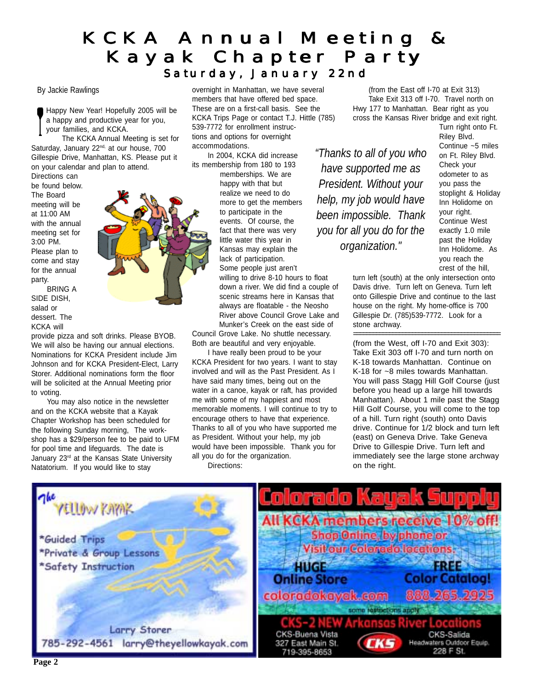### KCKA Annual Meeting & Kayak Chapter Party Saturday, January 22nd

#### By Jackie Rawlings

Happy New Year! Hopefully 2005 will be a happy and productive year for you, your families, and KCKA.

The KCKA Annual Meeting is set for Saturday, January 22<sup>nd,</sup> at our house, 700 Gillespie Drive, Manhattan, KS. Please put it on your calendar and plan to attend.

Directions can be found below. The Board meeting will be at 11:00 AM with the annual meeting set for 3:00 PM. Please plan to come and stay for the annual party.

BRING A SIDE DISH, salad or dessert. The KCKA will

provide pizza and soft drinks. Please BYOB. We will also be having our annual elections. Nominations for KCKA President include Jim Johnson and for KCKA President-Elect, Larry Storer. Additional nominations form the floor will be solicited at the Annual Meeting prior to voting.

You may also notice in the newsletter and on the KCKA website that a Kayak Chapter Workshop has been scheduled for the following Sunday morning, The workshop has a \$29/person fee to be paid to UFM for pool time and lifeguards. The date is January 23<sup>rd</sup> at the Kansas State University Natatorium. If you would like to stay

overnight in Manhattan, we have several members that have offered bed space. These are on a first-call basis. See the KCKA Trips Page or contact T.J. Hittle (785) 539-7772 for enrollment instructions and options for overnight accommodations.

In 2004, KCKA did increase its membership from 180 to 193 memberships. We are

happy with that but realize we need to do more to get the members to participate in the events. Of course, the fact that there was very little water this year in Kansas may explain the lack of participation. Some people just aren't

willing to drive 8-10 hours to float down a river. We did find a couple of scenic streams here in Kansas that always are floatable - the Neosho River above Council Grove Lake and Munker's Creek on the east side of

Council Grove Lake. No shuttle necessary. Both are beautiful and very enjoyable.

I have really been proud to be your KCKA President for two years. I want to stay involved and will as the Past President. As I have said many times, being out on the water in a canoe, kayak or raft, has provided me with some of my happiest and most memorable moments. I will continue to try to encourage others to have that experience. Thanks to all of you who have supported me as President. Without your help, my job would have been impossible. Thank you for all you do for the organization.

Directions:

(from the East off I-70 at Exit 313) Take Exit 313 off I-70. Travel north on Hwy 177 to Manhattan. Bear right as you cross the Kansas River bridge and exit right.

*"Thanks to all of you who have supported me as President. Without your help, my job would have been impossible. Thank you for all you do for the organization."*

Turn right onto Ft. Riley Blvd. Continue ~5 miles on Ft. Riley Blvd. Check your odometer to as you pass the stoplight & Holiday Inn Holidome on your right. Continue West exactly 1.0 mile past the Holiday Inn Holidome. As you reach the crest of the hill,

turn left (south) at the only intersection onto Davis drive. Turn left on Geneva. Turn left onto Gillespie Drive and continue to the last house on the right. My home-office is 700 Gillespie Dr. (785)539-7772. Look for a stone archway.

============================================= (from the West, off I-70 and Exit 303): Take Exit 303 off I-70 and turn north on K-18 towards Manhattan. Continue on K-18 for ~8 miles towards Manhattan. You will pass Stagg Hill Golf Course (just before you head up a large hill towards Manhattan). About 1 mile past the Stagg Hill Golf Course, you will come to the top of a hill. Turn right (south) onto Davis drive. Continue for 1/2 block and turn left (east) on Geneva Drive. Take Geneva Drive to Gillespie Drive. Turn left and immediately see the large stone archway on the right.

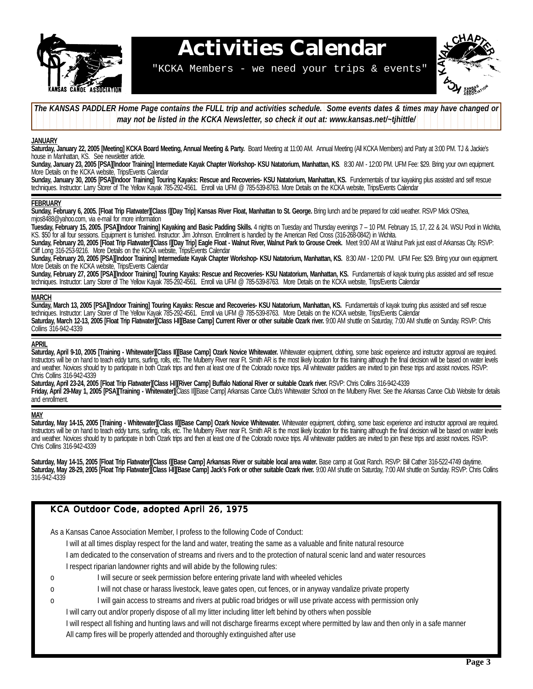

# **Activities Calendar**

"KCKA Members - we need your trips & events"



The KANSAS PADDLER Home Page contains the FULL trip and activities schedule. Some events dates & times may have changed or 12345678901234567890123456789012123456789012345678901234567890121234567 **1 1 7** *may not be listed in the KCKA Newsletter, so check it out at: www.kansas.net/~tjhittle/* 12345678901234567890123456789012123456789012345678901234567890121234567

#### **JANUARY**

Saturday, January 22, 2005 [Meeting] KCKA Board Meeting, Annual Meeting & Party. Board Meeting at 11:00 AM. Annual Meeting (All KCKA Members) and Party at 3:00 PM. TJ & Jackie's house in Manhattan, KS. See newsletter article.

**Sunday, January 23, 2005 [PSA][Indoor Training] Intermediate Kayak Chapter Workshop- KSU Natatorium, Manhattan, KS**. 8:30 AM - 12:00 PM. UFM Fee: \$29. Bring your own equipment. More Details on the KCKA website, Trips/Events Calendar

Sunday, January 30, 2005 [PSA][Indoor Training] Touring Kayaks: Rescue and Recoveries- KSU Natatorium, Manhattan, KS. Fundementals of tour kayaking plus assisted and self rescue techniques. Instructor: Larry Storer of The Yellow Kayak 785-292-4561. Enroll via UFM @ 785-539-8763. More Details on the KCKA website, Trips/Events Calendar

#### **FEBRUARY**

**Sunday, February 6, 2005. [Float Trip Flatwater][Class I][Day Trip] Kansas River Float, Manhattan to St. George.** Bring lunch and be prepared for cold weather. RSVP Mick O'Shea, mjos8488@yahoo.com, via e-mail for more information

Tuesday, February 15, 2005. [PSA][Indoor Training] Kayaking and Basic Padding Skills. 4 nights on Tuesday and Thursday evenings 7 – 10 PM. February 15, 17, 22 & 24. WSU Pool in Wichita, KS. \$50 for all four sessions. Equipment is furnished. Instructor: Jim Johnson. Enrollment is handled by the American Red Cross (316-268-0842) in Wichita.

Sunday, February 20, 2005 [Float Trip Flatwater][Class I][Day Trip] Eagle Float - Walnut River, Walnut Park to Grouse Creek. Meet 9:00 AM at Walnut Park just east of Arkansas City. RSVP: Cliff Long 316-253-9216. More Details on the KCKA website, Trips/Events Calendar

Sunday, February 20, 2005 [PSA][Indoor Training] Intermediate Kayak Chapter Workshop- KSU Natatorium, Manhattan, KS. 8:30 AM - 12:00 PM. UFM Fee: \$29. Bring your own equipment. More Details on the KCKA website, Trips/Events Calendar

Sunday, February 27, 2005 [PSA][Indoor Training] Touring Kayaks: Rescue and Recoveries- KSU Natatorium, Manhattan, KS. Fundamentals of kayak touring plus assisted and self rescue techniques. Instructor: Larry Storer of The Yellow Kayak 785-292-4561. Enroll via UFM @ 785-539-8763. More Details on the KCKA website, Trips/Events Calendar

#### **MARCH**

Sunday, March 13, 2005 [PSA][Indoor Training] Touring Kayaks: Rescue and Recoveries- KSU Natatorium, Manhattan, KS. Fundamentals of kayak touring plus assisted and self rescue techniques. Instructor: Larry Storer of The Yellow Kayak 785-292-4561. Enroll via UFM @ 785-539-8763. More Details on the KCKA website, Trips/Events Calendar Saturday, March 12-13, 2005 [Float Trip Flatwater][Class I-II][Base Camp] Current River or other suitable Ozark river. 9:00 AM shuttle on Saturday, 7:00 AM shuttle on Sunday. RSVP: Chris Collins 316-942-4339

#### **APRIL**

Saturday, April 9-10, 2005 [Training - Whitewater][Class II][Base Camp] Ozark Novice Whitewater. Whitewater equipment, clothing, some basic experience and instructor approval are required. Instructors will be on hand to teach eddy turns, surfing, rolls, etc. The Mulberry River near Ft. Smith AR is the most likely location for this training although the final decision will be based on water levels and weather. Novices should try to participate in both Ozark trips and then at least one of the Colorado novice trips. All whitewater paddlers are invited to join these trips and assist novices. RSVP: Chris Collins 316-942-4339

Saturday, April 23-24, 2005 [Float Trip Flatwater][Class I-II][River Camp] Buffalo National River or suitable Ozark river. RSVP: Chris Collins 316-942-4339 Friday, April 29-May 1, 2005 [PSA][Training - Whitewater][Class II][Base Camp] Arkansas Canoe Club's Whitewater School on the Mulberry River. See the Arkansas Canoe Club Website for details and enrollment.

#### **MAY**

Saturday, May 14-15, 2005 [Training - Whitewater][Class II][Base Camp] Ozark Novice Whitewater. Whitewater equipment, clothing, some basic experience and instructor approval are required. Instructors will be on hand to teach eddy turns, surfing, rolls, etc. The Mulberry River near Ft. Smith AR is the most likely location for this training although the final decision will be based on water levels and weather. Novices should try to participate in both Ozark trips and then at least one of the Colorado novice trips. All whitewater paddlers are invited to join these trips and assist novices. RSVP: Chris Collins 316-942-4339

Saturday, May 14-15, 2005 [Float Trip Flatwater][Class I][Base Camp] Arkansas River or suitable local area water. Base camp at Goat Ranch. RSVP: Bill Cather 316-522-4749 daytime. Saturday, May 28-29, 2005 [Float Trip Flatwater][Class HI][Base Camp] Jack's Fork or other suitable Ozark river. 9:00 AM shuttle on Saturday, 7:00 AM shuttle on Sunday. RSVP: Chris Collins 316-942-4339

#### KCA Outdoor Code, adopted April 26, 1975

As a Kansas Canoe Association Member, I profess to the following Code of Conduct:

I will at all times display respect for the land and water, treating the same as a valuable and finite natural resource

I am dedicated to the conservation of streams and rivers and to the protection of natural scenic land and water resources

I respect riparian landowner rights and will abide by the following rules:

- o I will secure or seek permission before entering private land with wheeled vehicles
- o I will not chase or harass livestock, leave gates open, cut fences, or in anyway vandalize private property
- o I will gain access to streams and rivers at public road bridges or will use private access with permission only
	- I will carry out and/or properly dispose of all my litter including litter left behind by others when possible

 I will respect all fishing and hunting laws and will not discharge firearms except where permitted by law and then only in a safe manner All camp fires will be properly attended and thoroughly extinguished after use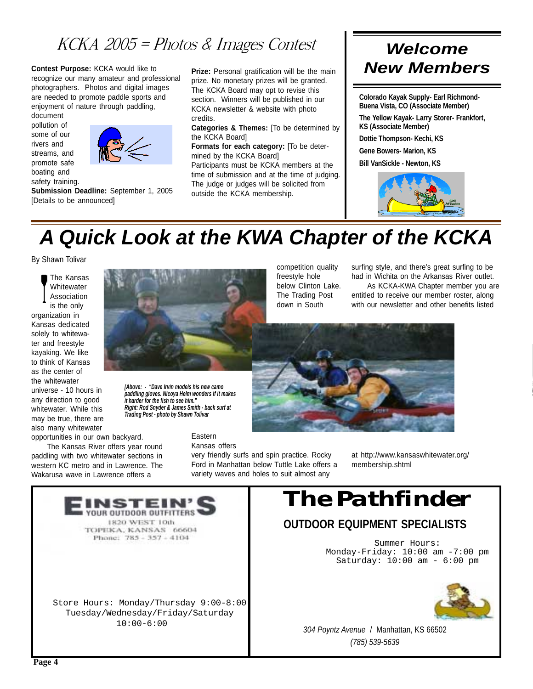### $KCKA 2005 = Photos \& ImageS$

**Contest Purpose:** KCKA would like to recognize our many amateur and professional photographers. Photos and digital images are needed to promote paddle sports and enjoyment of nature through paddling,

document pollution of some of our rivers and streams, and promote safe boating and safety training.



**Submission Deadline:** September 1, 2005 [Details to be announced]

**Prize:** Personal gratification will be the main prize. No monetary prizes will be granted. The KCKA Board may opt to revise this section. Winners will be published in our KCKA newsletter & website with photo credits.

**Categories & Themes:** [To be determined by the KCKA Board]

**Formats for each category:** [To be determined by the KCKA Board] Participants must be KCKA members at the

time of submission and at the time of judging. The judge or judges will be solicited from outside the KCKA membership.

### *Welcome New Members*

**Colorado Kayak Supply- Earl Richmond-Buena Vista, CO (Associate Member)**

**The Yellow Kayak- Larry Storer- Frankfort, KS (Associate Member)**

**Dottie Thompson- Kechi, KS**

**Gene Bowers- Marion, KS**

**Bill VanSickle - Newton, KS**



# *A Quick Look at the KWA Chapter of the KCKA*

competition quality freestyle hole below Clinton Lake. The Trading Post down in South

By Shawn Tolivar

The Kansas **Whitewater** Association is the only organization in Kansas dedicated solely to whitewater and freestyle kayaking. We like to think of Kansas as the center of the whitewater universe - 10 hours in any direction to good whitewater. While this may be true, there are also many whitewater opportunities in our own backyard.

The Kansas River offers year round paddling with two whitewater sections in western KC metro and in Lawrence. The Wakarusa wave in Lawrence offers a

*[Above: - "Dave Irvin models his new camo paddling gloves. Nicoya Helm wonders if it makes it harder for the fish to see him." Right: Rod Snyder & James Smith - back surf at Trading Post - photo by Shawn Tolivar*

> Eastern Kansas offers

very friendly surfs and spin practice. Rocky Ford in Manhattan below Tuttle Lake offers a variety waves and holes to suit almost any

surfing style, and there's great surfing to be had in Wichita on the Arkansas River outlet.

As KCKA-KWA Chapter member you are entitled to receive our member roster, along with our newsletter and other benefits listed



at http://www.kansaswhitewater.org/ membership.shtml

# *The Pathfinder*

### **OUTDOOR EQUIPMENT SPECIALISTS**

Summer Hours: Monday-Friday: 10:00 am -7:00 pm Saturday: 10:00 am - 6:00 pm



*304 Poyntz Avenue* / Manhattan, KS 66502 *(785) 539-5639*

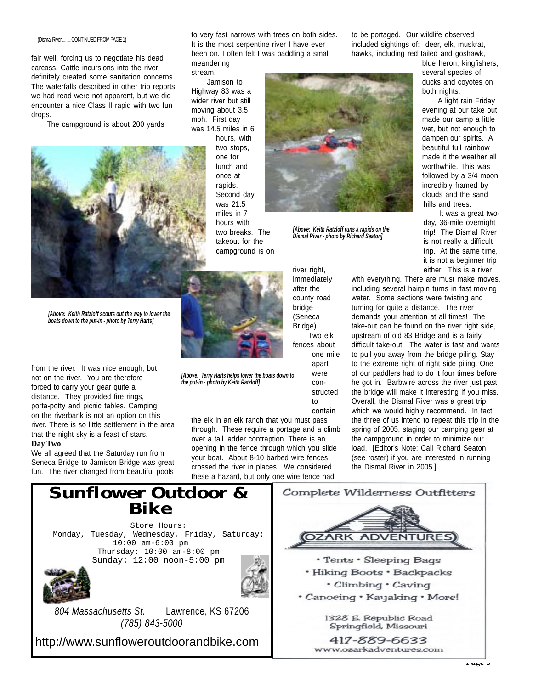#### (Dismal River..........CONTINUED FROM PAGE 1)

fair well, forcing us to negotiate his dead carcass. Cattle incursions into the river definitely created some sanitation concerns. The waterfalls described in other trip reports we had read were not apparent, but we did encounter a nice Class II rapid with two fun drops.

The campground is about 200 yards



*[Above: Keith Ratzloff scouts out the way to lower the boats down to the put-in - photo by Terry Harts]*

from the river. It was nice enough, but not on the river. You are therefore forced to carry your gear quite a distance. They provided fire rings, porta-potty and picnic tables. Camping on the riverbank is not an option on this river. There is so little settlement in the area that the night sky is a feast of stars. **Day Two**

We all agreed that the Saturday run from Seneca Bridge to Jamison Bridge was great fun. The river changed from beautiful pools to very fast narrows with trees on both sides. It is the most serpentine river I have ever been on. I often felt I was paddling a small meandering

stream.

Jamison to Highway 83 was a wider river but still moving about 3.5 mph. First day was 14.5 miles in 6 hours, with two stops, one for lunch and once at rapids. Second day was 21.5 miles in 7 hours with two breaks. The takeout for the campground is on



*[Above: Keith Ratzloff runs a rapids on the Dismal River - photo by Richard Seaton]*

Two elk one mile apart were constructed to

contain

the elk in an elk ranch that you must pass through. These require a portage and a climb over a tall ladder contraption. There is an opening in the fence through which you slide your boat. About 8-10 barbed wire fences crossed the river in places. We considered these a hazard, but only one wire fence had

*[Above: Terry Harts helps lower the boats down to*

*the put-in - photo by Keith Ratzloff]*

immediately after the county road bridge (Seneca Bridge).

river right,

fences about

to be portaged. Our wildlife observed included sightings of: deer, elk, muskrat, hawks, including red tailed and goshawk,

> blue heron, kingfishers, several species of ducks and coyotes on both nights.

> A light rain Friday evening at our take out made our camp a little wet, but not enough to dampen our spirits. A beautiful full rainbow made it the weather all worthwhile. This was followed by a 3/4 moon incredibly framed by clouds and the sand hills and trees.

It was a great twoday, 36-mile overnight trip! The Dismal River is not really a difficult trip. At the same time, it is not a beginner trip either. This is a river

with everything. There are must make moves, including several hairpin turns in fast moving water. Some sections were twisting and turning for quite a distance. The river demands your attention at all times! The take-out can be found on the river right side, upstream of old 83 Bridge and is a fairly difficult take-out. The water is fast and wants to pull you away from the bridge piling. Stay to the extreme right of right side piling. One of our paddlers had to do it four times before he got in. Barbwire across the river just past the bridge will make it interesting if you miss. Overall, the Dismal River was a great trip which we would highly recommend. In fact, the three of us intend to repeat this trip in the spring of 2005, staging our camping gear at the campground in order to minimize our load. [Editor's Note: Call Richard Seaton (see roster) if you are interested in running the Dismal River in 2005.]

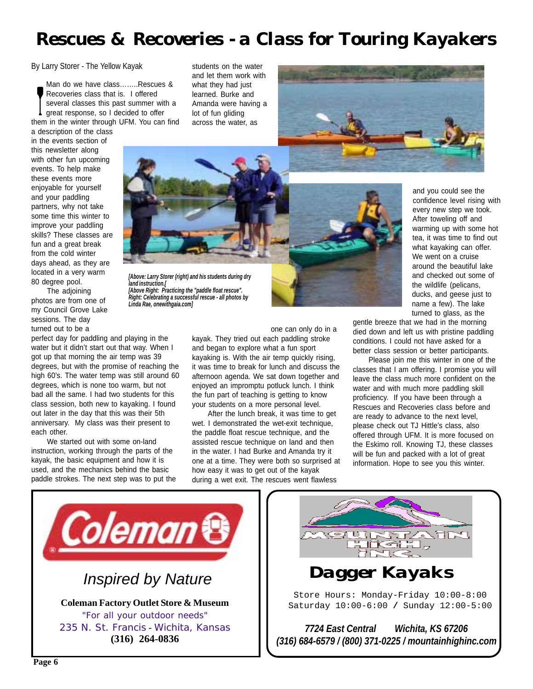### *Rescues & Recoveries - a Class for Touring Kayakers*

By Larry Storer - The Yellow Kayak

Man do we have class……..Rescues & Recoveries class that is. I offered several classes this past summer with a great response, so I decided to offer them in the winter through UFM. You can find

a description of the class in the events section of this newsletter along with other fun upcoming events. To help make these events more enjoyable for yourself and your paddling partners, why not take some time this winter to improve your paddling skills? These classes are fun and a great break from the cold winter days ahead, as they are located in a very warm 80 degree pool.

The adjoining photos are from one of my Council Grove Lake sessions. The day turned out to be a

perfect day for paddling and playing in the water but it didn't start out that way. When I got up that morning the air temp was 39 degrees, but with the promise of reaching the high 60's. The water temp was still around 60 degrees, which is none too warm, but not bad all the same. I had two students for this class session, both new to kayaking. I found out later in the day that this was their 5th anniversary. My class was their present to each other.

We started out with some on-land instruction, working through the parts of the kayak, the basic equipment and how it is used, and the mechanics behind the basic paddle strokes. The next step was to put the students on the water and let them work with what they had just learned. Burke and Amanda were having a lot of fun gliding across the water, as



*[Above: Larry Storer (right) and his students during dry land instruction.[ [Above Right: Practicing the "paddle float rescue". Right: Celebrating a successful rescue - all photos by Linda Rae, onewithgaia.com]*

one can only do in a

kayak. They tried out each paddling stroke and began to explore what a fun sport kayaking is. With the air temp quickly rising, it was time to break for lunch and discuss the afternoon agenda. We sat down together and enjoyed an impromptu potluck lunch. I think the fun part of teaching is getting to know your students on a more personal level.

After the lunch break, it was time to get wet. I demonstrated the wet-exit technique, the paddle float rescue technique, and the assisted rescue technique on land and then in the water. I had Burke and Amanda try it one at a time. They were both so surprised at how easy it was to get out of the kayak during a wet exit. The rescues went flawless

and you could see the confidence level rising with every new step we took. After toweling off and warming up with some hot tea, it was time to find out what kayaking can offer. We went on a cruise around the beautiful lake and checked out some of the wildlife (pelicans, ducks, and geese just to name a few). The lake turned to glass, as the

gentle breeze that we had in the morning died down and left us with pristine paddling conditions. I could not have asked for a better class session or better participants.

Please join me this winter in one of the classes that I am offering. I promise you will leave the class much more confident on the water and with much more paddling skill proficiency. If you have been through a Rescues and Recoveries class before and are ready to advance to the next level, please check out TJ Hittle's class, also offered through UFM. It is more focused on the Eskimo roll. Knowing TJ, these classes will be fun and packed with a lot of great information. Hope to see you this winter.



235 N. St. Francis - Wichita, Kansas **(316) 264-0836**



*Dagger Kayaks*

Store Hours: Monday-Friday 10:00-8:00 Saturday 10:00-6:00 **/** Sunday 12:00-5:00

*7724 East Central Wichita, KS 67206 (316) 684-6579 / (800) 371-0225 / mountainhighinc.com*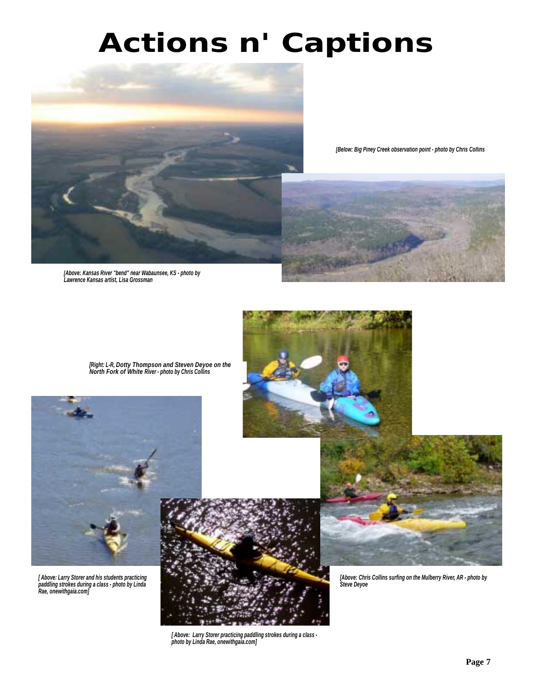# *Actions n' Captions*



*[Below: Big Piney Creek observation point - photo by Chris Collins*

*[Above: Kansas River "bend" near Wabaunsee, KS - photo by Lawrence Kansas artist, Lisa Grossman*





*[ Above: Larry Storer and his students practicing paddling strokes during a class - photo by Linda Rae, onewithgaia.com]*



*[ Above: Larry Storer practicing paddling strokes during a class photo by Linda Rae, onewithgaia.com]*





*[Above: Chris Collins surfing on the Mulberry River, AR - photo by Steve Deyoe*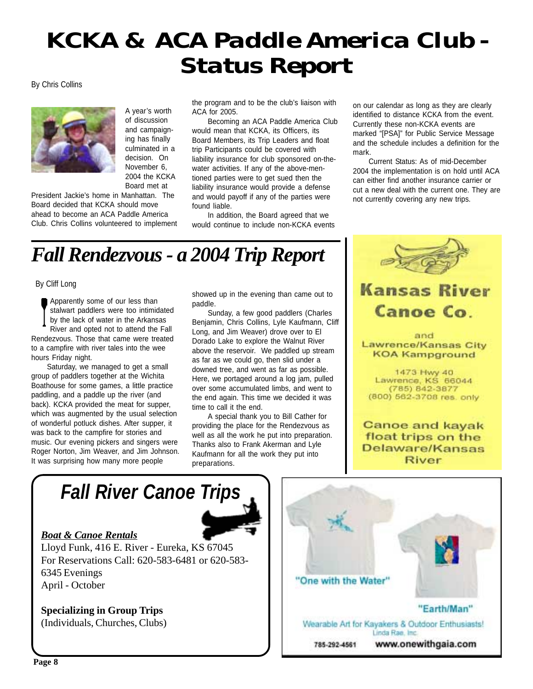# *KCKA & ACA Paddle America Club - Status Report*

By Chris Collins



A year's worth of discussion and campaigning has finally culminated in a decision. On November 6, 2004 the KCKA Board met at

President Jackie's home in Manhattan. The Board decided that KCKA should move ahead to become an ACA Paddle America Club. Chris Collins volunteered to implement the program and to be the club's liaison with ACA for 2005.

Becoming an ACA Paddle America Club would mean that KCKA, its Officers, its Board Members, its Trip Leaders and float trip Participants could be covered with liability insurance for club sponsored on-thewater activities. If any of the above-mentioned parties were to get sued then the liability insurance would provide a defense and would payoff if any of the parties were found liable.

In addition, the Board agreed that we would continue to include non-KCKA events on our calendar as long as they are clearly identified to distance KCKA from the event. Currently these non-KCKA events are marked "[PSA]" for Public Service Message and the schedule includes a definition for the mark.

Current Status: As of mid-December 2004 the implementation is on hold until ACA can either find another insurance carrier or cut a new deal with the current one. They are not currently covering any new trips.

# *Fall Rendezvous - a 2004 Trip Report*

By Cliff Long

Apparently some of our less than stalwart paddlers were too intimidated by the lack of water in the Arkansas River and opted not to attend the Fall Rendezvous. Those that came were treated to a campfire with river tales into the wee

hours Friday night. Saturday, we managed to get a small group of paddlers together at the Wichita Boathouse for some games, a little practice paddling, and a paddle up the river (and back). KCKA provided the meat for supper, which was augmented by the usual selection of wonderful potluck dishes. After supper, it was back to the campfire for stories and music. Our evening pickers and singers were Roger Norton, Jim Weaver, and Jim Johnson. It was surprising how many more people

showed up in the evening than came out to paddle.

Sunday, a few good paddlers (Charles Benjamin, Chris Collins, Lyle Kaufmann, Cliff Long, and Jim Weaver) drove over to El Dorado Lake to explore the Walnut River above the reservoir. We paddled up stream as far as we could go, then slid under a downed tree, and went as far as possible. Here, we portaged around a log jam, pulled over some accumulated limbs, and went to the end again. This time we decided it was time to call it the end.

A special thank you to Bill Cather for providing the place for the Rendezvous as well as all the work he put into preparation. Thanks also to Frank Akerman and Lyle Kaufmann for all the work they put into preparations.



### **Kansas River** Canoe Co

and Lawrence/Kansas City **KOA Kampground** 

1473 Hwy 40 Lawrence, KS 66044 (785) 842-3877 (800) 562-3708 res. only

**Canoe and kayak** float trips on the Delaware/Kansas **River** 

# *Fall River Canoe Trips*



### *Boat & Canoe Rentals*

Lloyd Funk, 416 E. River - Eureka, KS 67045 For Reservations Call: 620-583-6481 or 620-583- 6345 Evenings April - October

**Specializing in Group Trips** (Individuals, Churches, Clubs)

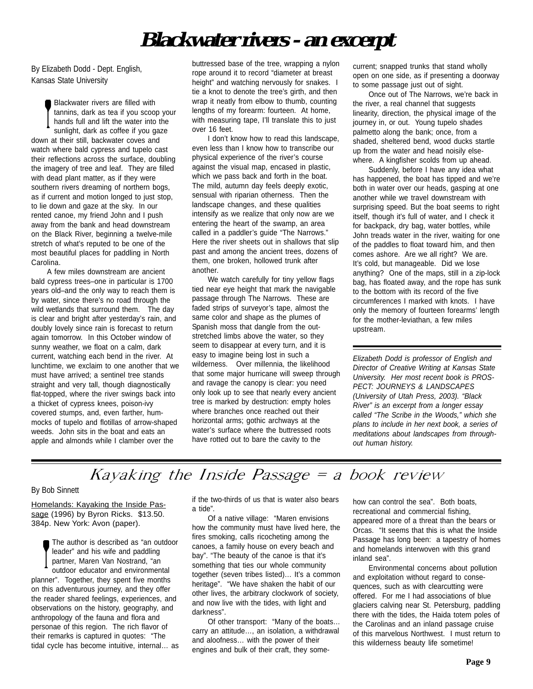### **Blackwater rivers - an excerpt**

By Elizabeth Dodd - Dept. English, Kansas State University

Blackwater rivers are filled with tannins, dark as tea if you scoop your hands full and lift the water into the sunlight, dark as coffee if you gaze down at their still, backwater coves and watch where bald cypress and tupelo cast their reflections across the surface, doubling the imagery of tree and leaf. They are filled with dead plant matter, as if they were southern rivers dreaming of northern bogs, as if current and motion longed to just stop, to lie down and gaze at the sky. In our rented canoe, my friend John and I push away from the bank and head downstream on the Black River, beginning a twelve-mile stretch of what's reputed to be one of the most beautiful places for paddling in North Carolina.

A few miles downstream are ancient bald cypress trees–one in particular is 1700 years old–and the only way to reach them is by water, since there's no road through the wild wetlands that surround them. The day is clear and bright after yesterday's rain, and doubly lovely since rain is forecast to return again tomorrow. In this October window of sunny weather, we float on a calm, dark current, watching each bend in the river. At lunchtime, we exclaim to one another that we must have arrived; a sentinel tree stands straight and very tall, though diagnostically flat-topped, where the river swings back into a thicket of cypress knees, poison-ivy covered stumps, and, even farther, hummocks of tupelo and flotillas of arrow-shaped weeds. John sits in the boat and eats an apple and almonds while I clamber over the

buttressed base of the tree, wrapping a nylon rope around it to record "diameter at breast height" and watching nervously for snakes. I tie a knot to denote the tree's girth, and then wrap it neatly from elbow to thumb, counting lengths of my forearm: fourteen. At home, with measuring tape, I'll translate this to just over 16 feet.

I don't know how to read this landscape, even less than I know how to transcribe our physical experience of the river's course against the visual map, encased in plastic, which we pass back and forth in the boat. The mild, autumn day feels deeply exotic, sensual with riparian otherness. Then the landscape changes, and these qualities intensify as we realize that only now are we entering the heart of the swamp, an area called in a paddler's guide "The Narrows." Here the river sheets out in shallows that slip past and among the ancient trees, dozens of them, one broken, hollowed trunk after another.

We watch carefully for tiny yellow flags tied near eye height that mark the navigable passage through The Narrows. These are faded strips of surveyor's tape, almost the same color and shape as the plumes of Spanish moss that dangle from the outstretched limbs above the water, so they seem to disappear at every turn, and it is easy to imagine being lost in such a wilderness. Over millennia, the likelihood that some major hurricane will sweep through and ravage the canopy is clear: you need only look up to see that nearly every ancient tree is marked by destruction: empty holes where branches once reached out their horizontal arms; gothic archways at the water's surface where the buttressed roots have rotted out to bare the cavity to the

current; snapped trunks that stand wholly open on one side, as if presenting a doorway to some passage just out of sight.

Once out of The Narrows, we're back in the river, a real channel that suggests linearity, direction, the physical image of the journey in, or out. Young tupelo shades palmetto along the bank; once, from a shaded, sheltered bend, wood ducks startle up from the water and head noisily elsewhere. A kingfisher scolds from up ahead.

Suddenly, before I have any idea what has happened, the boat has tipped and we're both in water over our heads, gasping at one another while we travel downstream with surprising speed. But the boat seems to right itself, though it's full of water, and I check it for backpack, dry bag, water bottles, while John treads water in the river, waiting for one of the paddles to float toward him, and then comes ashore. Are we all right? We are. It's cold, but manageable. Did we lose anything? One of the maps, still in a zip-lock bag, has floated away, and the rope has sunk to the bottom with its record of the five circumferences I marked with knots. I have only the memory of fourteen forearms' length for the mother-leviathan, a few miles upstream.

*Elizabeth Dodd is professor of English and Director of Creative Writing at Kansas State University. Her most recent book is PROS-PECT: JOURNEYS & LANDSCAPES (University of Utah Press, 2003). "Black River" is an excerpt from a longer essay called "The Scribe in the Woods," which she plans to include in her next book, a series of meditations about landscapes from throughout human history.*

### Kayaking the Inside Passage  $=$  a book review

#### By Bob Sinnett

Homelands: Kayaking the Inside Passage (1996) by Byron Ricks. \$13.50. 384p. New York: Avon (paper).

> The author is described as "an outdoor leader" and his wife and paddling partner, Maren Van Nostrand, "an outdoor educator and environmental

planner". Together, they spent five months on this adventurous journey, and they offer the reader shared feelings, experiences, and observations on the history, geography, and anthropology of the fauna and flora and personae of this region. The rich flavor of their remarks is captured in quotes: "The tidal cycle has become intuitive, internal… as if the two-thirds of us that is water also bears a tide".

Of a native village: "Maren envisions how the community must have lived here, the fires smoking, calls ricocheting among the canoes, a family house on every beach and bay". "The beauty of the canoe is that it's something that ties our whole community together (seven tribes listed)… It's a common heritage". "We have shaken the habit of our other lives, the arbitrary clockwork of society, and now live with the tides, with light and darkness".

Of other transport: "Many of the boats… carry an attitude…, an isolation, a withdrawal and aloofness… with the power of their engines and bulk of their craft, they somehow can control the sea". Both boats, recreational and commercial fishing, appeared more of a threat than the bears or Orcas. "It seems that this is what the Inside Passage has long been: a tapestry of homes and homelands interwoven with this grand inland sea".

Environmental concerns about pollution and exploitation without regard to consequences, such as with clearcutting were offered. For me I had associations of blue glaciers calving near St. Petersburg, paddling there with the tides, the Haida totem poles of the Carolinas and an inland passage cruise of this marvelous Northwest. I must return to this wilderness beauty life sometime!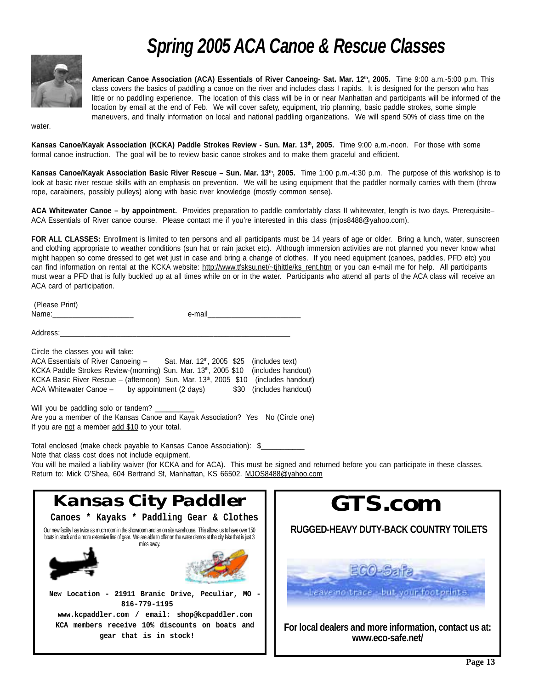## *Spring 2005 ACA Canoe & Rescue Classes*



**American Canoe Association (ACA) Essentials of River Canoeing- Sat. Mar. 12th, 2005.** Time 9:00 a.m.-5:00 p.m. This class covers the basics of paddling a canoe on the river and includes class I rapids. It is designed for the person who has little or no paddling experience. The location of this class will be in or near Manhattan and participants will be informed of the location by email at the end of Feb. We will cover safety, equipment, trip planning, basic paddle strokes, some simple maneuvers, and finally information on local and national paddling organizations. We will spend 50% of class time on the

water.

Kansas Canoe/Kayak Association (KCKA) Paddle Strokes Review - Sun. Mar. 13<sup>th</sup>, 2005. Time 9:00 a.m.-noon. For those with some formal canoe instruction. The goal will be to review basic canoe strokes and to make them graceful and efficient.

Kansas Canoe/Kayak Association Basic River Rescue - Sun. Mar. 13<sup>th</sup>, 2005. Time 1:00 p.m.-4:30 p.m. The purpose of this workshop is to look at basic river rescue skills with an emphasis on prevention. We will be using equipment that the paddler normally carries with them (throw rope, carabiners, possibly pulleys) along with basic river knowledge (mostly common sense).

**ACA Whitewater Canoe – by appointment.** Provides preparation to paddle comfortably class II whitewater, length is two days. Prerequisite– ACA Essentials of River canoe course. Please contact me if you're interested in this class (mjos8488@yahoo.com).

**FOR ALL CLASSES:** Enrollment is limited to ten persons and all participants must be 14 years of age or older. Bring a lunch, water, sunscreen and clothing appropriate to weather conditions (sun hat or rain jacket etc). Although immersion activities are not planned you never know what might happen so come dressed to get wet just in case and bring a change of clothes. If you need equipment (canoes, paddles, PFD etc) you can find information on rental at the KCKA website: http://www.tfsksu.net/~tjhittle/ks\_rent.htm or you can e-mail me for help. All participants must wear a PFD that is fully buckled up at all times while on or in the water. Participants who attend all parts of the ACA class will receive an ACA card of participation.

| (Please<br>- HHU |  |
|------------------|--|
| Name:<br>$\sim$  |  |
|                  |  |

Address:\_\_\_\_\_\_\_\_\_\_\_\_\_\_\_\_\_\_\_\_\_\_\_\_\_\_\_\_\_\_\_\_\_\_\_\_\_\_\_\_\_\_\_\_\_\_\_\_\_\_\_\_\_\_\_\_\_

Circle the classes you will take: ACA Essentials of River Canoeing - Sat. Mar. 12<sup>th</sup>, 2005 \$25 (includes text) KCKA Paddle Strokes Review-(morning) Sun. Mar. 13th, 2005 \$10 (includes handout) KCKA Basic River Rescue – (afternoon) Sun. Mar. 13th, 2005 \$10 (includes handout) ACA Whitewater Canoe - by appointment (2 days) \$30 (includes handout)

Will you be paddling solo or tandem? Are you a member of the Kansas Canoe and Kayak Association? Yes No (Circle one) If you are not a member add \$10 to your total.

Total enclosed (make check payable to Kansas Canoe Association): \$\_\_\_\_\_\_\_\_\_\_\_ Note that class cost does not include equipment.

You will be mailed a liability waiver (for KCKA and for ACA). This must be signed and returned before you can participate in these classes. Return to: Mick O'Shea, 604 Bertrand St, Manhattan, KS 66502. MJOS8488@yahoo.com

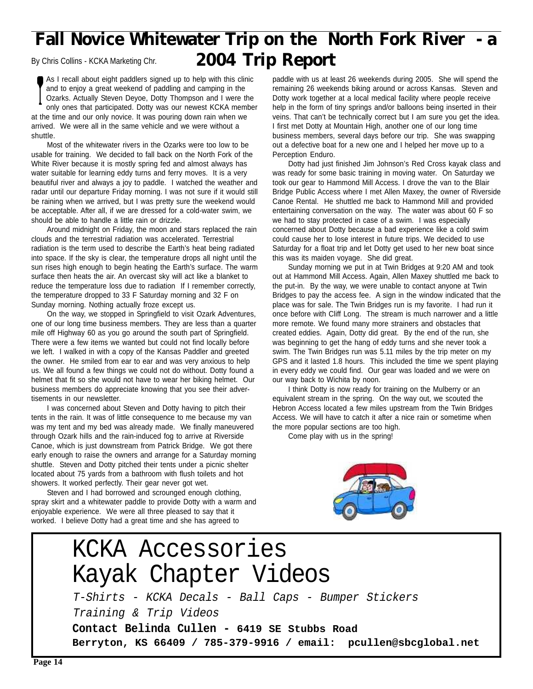### **Fall Novice Whitewater Trip on the North Fork River - a** By Chris Collins - KCKA Marketing Chr. **2004 Trip Report**

As I recall about eight paddlers signed up to help with this clinic and to enjoy a great weekend of paddling and camping in the Ozarks. Actually Steven Deyoe, Dotty Thompson and I were the only ones that participated. Dotty was our newest KCKA member at the time and our only novice. It was pouring down rain when we arrived. We were all in the same vehicle and we were without a shuttle.

Most of the whitewater rivers in the Ozarks were too low to be usable for training. We decided to fall back on the North Fork of the White River because it is mostly spring fed and almost always has water suitable for learning eddy turns and ferry moves. It is a very beautiful river and always a joy to paddle. I watched the weather and radar until our departure Friday morning. I was not sure if it would still be raining when we arrived, but I was pretty sure the weekend would be acceptable. After all, if we are dressed for a cold-water swim, we should be able to handle a little rain or drizzle.

Around midnight on Friday, the moon and stars replaced the rain clouds and the terrestrial radiation was accelerated. Terrestrial radiation is the term used to describe the Earth's heat being radiated into space. If the sky is clear, the temperature drops all night until the sun rises high enough to begin heating the Earth's surface. The warm surface then heats the air. An overcast sky will act like a blanket to reduce the temperature loss due to radiation If I remember correctly, the temperature dropped to 33 F Saturday morning and 32 F on Sunday morning. Nothing actually froze except us.

On the way, we stopped in Springfield to visit Ozark Adventures, one of our long time business members. They are less than a quarter mile off Highway 60 as you go around the south part of Springfield. There were a few items we wanted but could not find locally before we left. I walked in with a copy of the Kansas Paddler and greeted the owner. He smiled from ear to ear and was very anxious to help us. We all found a few things we could not do without. Dotty found a helmet that fit so she would not have to wear her biking helmet. Our business members do appreciate knowing that you see their advertisements in our newsletter.

I was concerned about Steven and Dotty having to pitch their tents in the rain. It was of little consequence to me because my van was my tent and my bed was already made. We finally maneuvered through Ozark hills and the rain-induced fog to arrive at Riverside Canoe, which is just downstream from Patrick Bridge. We got there early enough to raise the owners and arrange for a Saturday morning shuttle. Steven and Dotty pitched their tents under a picnic shelter located about 75 yards from a bathroom with flush toilets and hot showers. It worked perfectly. Their gear never got wet.

Steven and I had borrowed and scrounged enough clothing, spray skirt and a whitewater paddle to provide Dotty with a warm and enjoyable experience. We were all three pleased to say that it worked. I believe Dotty had a great time and she has agreed to

paddle with us at least 26 weekends during 2005. She will spend the remaining 26 weekends biking around or across Kansas. Steven and Dotty work together at a local medical facility where people receive help in the form of tiny springs and/or balloons being inserted in their veins. That can't be technically correct but I am sure you get the idea. I first met Dotty at Mountain High, another one of our long time business members, several days before our trip. She was swapping out a defective boat for a new one and I helped her move up to a Perception Enduro.

Dotty had just finished Jim Johnson's Red Cross kayak class and was ready for some basic training in moving water. On Saturday we took our gear to Hammond Mill Access. I drove the van to the Blair Bridge Public Access where I met Allen Maxey, the owner of Riverside Canoe Rental. He shuttled me back to Hammond Mill and provided entertaining conversation on the way. The water was about 60 F so we had to stay protected in case of a swim. I was especially concerned about Dotty because a bad experience like a cold swim could cause her to lose interest in future trips. We decided to use Saturday for a float trip and let Dotty get used to her new boat since this was its maiden voyage. She did great.

Sunday morning we put in at Twin Bridges at 9:20 AM and took out at Hammond Mill Access. Again, Allen Maxey shuttled me back to the put-in. By the way, we were unable to contact anyone at Twin Bridges to pay the access fee. A sign in the window indicated that the place was for sale. The Twin Bridges run is my favorite. I had run it once before with Cliff Long. The stream is much narrower and a little more remote. We found many more strainers and obstacles that created eddies. Again, Dotty did great. By the end of the run, she was beginning to get the hang of eddy turns and she never took a swim. The Twin Bridges run was 5.11 miles by the trip meter on my GPS and it lasted 1.8 hours. This included the time we spent playing in every eddy we could find. Our gear was loaded and we were on our way back to Wichita by noon.

I think Dotty is now ready for training on the Mulberry or an equivalent stream in the spring. On the way out, we scouted the Hebron Access located a few miles upstream from the Twin Bridges Access. We will have to catch it after a nice rain or sometime when the more popular sections are too high.

Come play with us in the spring!



### KCKA Accessories Kayak Chapter Videos T-Shirts - KCKA Decals - Ball Caps - Bumper Stickers Training & Trip Videos **Contact Belinda Cullen - 6419 SE Stubbs Road Berryton, KS 66409 / 785-379-9916 / email: pcullen@sbcglobal.net**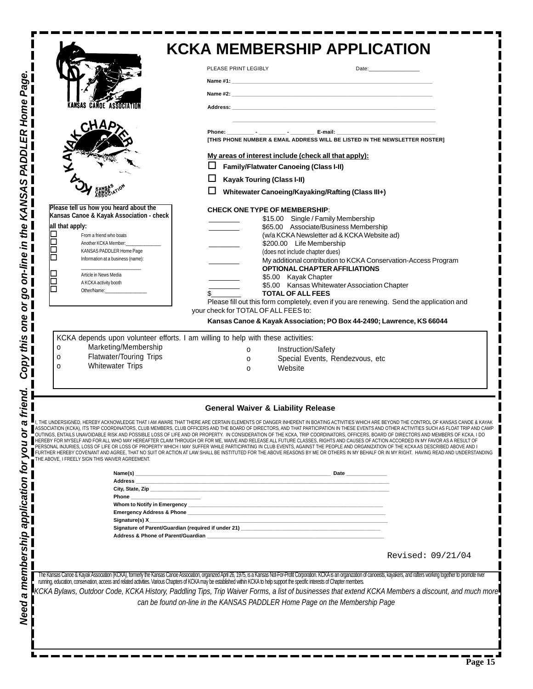|                                                                                                                                                                                                                                                                                                                                                                                                                                                                     | <b>KCKA MEMBERSHIP APPLICATION</b>                                                                                                                                                                                                                                                                                                                                                                                                                                                                                                                                                                                                                                                                                                                                                                                                                                                                                                                                                                                                                                                                                                        |  |
|---------------------------------------------------------------------------------------------------------------------------------------------------------------------------------------------------------------------------------------------------------------------------------------------------------------------------------------------------------------------------------------------------------------------------------------------------------------------|-------------------------------------------------------------------------------------------------------------------------------------------------------------------------------------------------------------------------------------------------------------------------------------------------------------------------------------------------------------------------------------------------------------------------------------------------------------------------------------------------------------------------------------------------------------------------------------------------------------------------------------------------------------------------------------------------------------------------------------------------------------------------------------------------------------------------------------------------------------------------------------------------------------------------------------------------------------------------------------------------------------------------------------------------------------------------------------------------------------------------------------------|--|
|                                                                                                                                                                                                                                                                                                                                                                                                                                                                     | PLEASE PRINT LEGIBLY<br>Date: the contract of the contract of the contract of the contract of the contract of the contract of the contract of the contract of the contract of the contract of the contract of the contract of the contract of the cont                                                                                                                                                                                                                                                                                                                                                                                                                                                                                                                                                                                                                                                                                                                                                                                                                                                                                    |  |
|                                                                                                                                                                                                                                                                                                                                                                                                                                                                     |                                                                                                                                                                                                                                                                                                                                                                                                                                                                                                                                                                                                                                                                                                                                                                                                                                                                                                                                                                                                                                                                                                                                           |  |
| OE ASSOCIATIO                                                                                                                                                                                                                                                                                                                                                                                                                                                       | Address: the contract of the contract of the contract of the contract of the contract of the contract of the contract of the contract of the contract of the contract of the contract of the contract of the contract of the c                                                                                                                                                                                                                                                                                                                                                                                                                                                                                                                                                                                                                                                                                                                                                                                                                                                                                                            |  |
|                                                                                                                                                                                                                                                                                                                                                                                                                                                                     |                                                                                                                                                                                                                                                                                                                                                                                                                                                                                                                                                                                                                                                                                                                                                                                                                                                                                                                                                                                                                                                                                                                                           |  |
|                                                                                                                                                                                                                                                                                                                                                                                                                                                                     | ITHIS PHONE NUMBER & EMAIL ADDRESS WILL BE LISTED IN THE NEWSLETTER ROSTERI                                                                                                                                                                                                                                                                                                                                                                                                                                                                                                                                                                                                                                                                                                                                                                                                                                                                                                                                                                                                                                                               |  |
|                                                                                                                                                                                                                                                                                                                                                                                                                                                                     | My areas of interest include (check all that apply):                                                                                                                                                                                                                                                                                                                                                                                                                                                                                                                                                                                                                                                                                                                                                                                                                                                                                                                                                                                                                                                                                      |  |
|                                                                                                                                                                                                                                                                                                                                                                                                                                                                     | <b>Family/Flatwater Canoeing (Class I-II)</b>                                                                                                                                                                                                                                                                                                                                                                                                                                                                                                                                                                                                                                                                                                                                                                                                                                                                                                                                                                                                                                                                                             |  |
|                                                                                                                                                                                                                                                                                                                                                                                                                                                                     | ப<br><b>Kayak Touring (Class I-II)</b><br>Whitewater Canoeing/Kayaking/Rafting (Class III+)                                                                                                                                                                                                                                                                                                                                                                                                                                                                                                                                                                                                                                                                                                                                                                                                                                                                                                                                                                                                                                               |  |
|                                                                                                                                                                                                                                                                                                                                                                                                                                                                     |                                                                                                                                                                                                                                                                                                                                                                                                                                                                                                                                                                                                                                                                                                                                                                                                                                                                                                                                                                                                                                                                                                                                           |  |
| Please tell us how you heard about the<br>Kansas Canoe & Kayak Association - check                                                                                                                                                                                                                                                                                                                                                                                  | <b>CHECK ONE TYPE OF MEMBERSHIP:</b><br>\$15.00 Single / Family Membership                                                                                                                                                                                                                                                                                                                                                                                                                                                                                                                                                                                                                                                                                                                                                                                                                                                                                                                                                                                                                                                                |  |
| all that apply:<br>From a friend who boats                                                                                                                                                                                                                                                                                                                                                                                                                          | \$65.00 Associate/Business Membership<br>(w/a KCKA Newsletter ad & KCKA Website ad)                                                                                                                                                                                                                                                                                                                                                                                                                                                                                                                                                                                                                                                                                                                                                                                                                                                                                                                                                                                                                                                       |  |
| Another KCKA Member:                                                                                                                                                                                                                                                                                                                                                                                                                                                | \$200.00 Life Membership                                                                                                                                                                                                                                                                                                                                                                                                                                                                                                                                                                                                                                                                                                                                                                                                                                                                                                                                                                                                                                                                                                                  |  |
| KANSAS PADDLER Home Page<br>Information at a business (name):<br>Article in News Media                                                                                                                                                                                                                                                                                                                                                                              | (does not include chapter dues)<br>My additional contribution to KCKA Conservation-Access Program<br><b>OPTIONAL CHAPTER AFFILIATIONS</b>                                                                                                                                                                                                                                                                                                                                                                                                                                                                                                                                                                                                                                                                                                                                                                                                                                                                                                                                                                                                 |  |
| A KCKA activity booth                                                                                                                                                                                                                                                                                                                                                                                                                                               | \$5.00 Kayak Chapter<br>\$5.00 Kansas Whitewater Association Chapter                                                                                                                                                                                                                                                                                                                                                                                                                                                                                                                                                                                                                                                                                                                                                                                                                                                                                                                                                                                                                                                                      |  |
| Other/Name:                                                                                                                                                                                                                                                                                                                                                                                                                                                         | <b>TOTAL OF ALL FEES</b><br>Please fill out this form completely, even if you are renewing. Send the application and                                                                                                                                                                                                                                                                                                                                                                                                                                                                                                                                                                                                                                                                                                                                                                                                                                                                                                                                                                                                                      |  |
|                                                                                                                                                                                                                                                                                                                                                                                                                                                                     | your check for TOTAL OF ALL FEES to:                                                                                                                                                                                                                                                                                                                                                                                                                                                                                                                                                                                                                                                                                                                                                                                                                                                                                                                                                                                                                                                                                                      |  |
| Kansas Canoe & Kayak Association; PO Box 44-2490; Lawrence, KS 66044                                                                                                                                                                                                                                                                                                                                                                                                |                                                                                                                                                                                                                                                                                                                                                                                                                                                                                                                                                                                                                                                                                                                                                                                                                                                                                                                                                                                                                                                                                                                                           |  |
| KCKA depends upon volunteer efforts. I am willing to help with these activities:<br>Marketing/Membership<br>0                                                                                                                                                                                                                                                                                                                                                       |                                                                                                                                                                                                                                                                                                                                                                                                                                                                                                                                                                                                                                                                                                                                                                                                                                                                                                                                                                                                                                                                                                                                           |  |
| Flatwater/Touring Trips<br>0                                                                                                                                                                                                                                                                                                                                                                                                                                        | Instruction/Safety<br>0<br>Special Events, Rendezvous, etc<br>O                                                                                                                                                                                                                                                                                                                                                                                                                                                                                                                                                                                                                                                                                                                                                                                                                                                                                                                                                                                                                                                                           |  |
| <b>Whitewater Trips</b><br>0                                                                                                                                                                                                                                                                                                                                                                                                                                        | Website<br>O                                                                                                                                                                                                                                                                                                                                                                                                                                                                                                                                                                                                                                                                                                                                                                                                                                                                                                                                                                                                                                                                                                                              |  |
|                                                                                                                                                                                                                                                                                                                                                                                                                                                                     |                                                                                                                                                                                                                                                                                                                                                                                                                                                                                                                                                                                                                                                                                                                                                                                                                                                                                                                                                                                                                                                                                                                                           |  |
| <b>General Waiver &amp; Liability Release</b>                                                                                                                                                                                                                                                                                                                                                                                                                       |                                                                                                                                                                                                                                                                                                                                                                                                                                                                                                                                                                                                                                                                                                                                                                                                                                                                                                                                                                                                                                                                                                                                           |  |
| THE ABOVE, I FREELY SIGN THIS WAIVER AGREEMENT.                                                                                                                                                                                                                                                                                                                                                                                                                     | THE UNDERSIGNED, HEREBY ACKNOWLEDGE THAT I AM AWARE THAT THERE ARE CERTAIN ELEMENTS OF DANGER INHERENT IN BOATING ACTIVITIES WHICH ARE BEYOND THE CONTROL OF KANSAS CANOE & KAYAK<br>ASSOCIATION (KCKA), ITS TRIP COORDINATORS, CLUB MEMBERS, CLUB OFFICERS AND THE BOARD OF DIRECTORS, AND THAT PARTICIPATION IN THESE EVENTS AND OTHER ACTIVITIES SUCH AS FLOAT TRIP AND CAMP<br>OUTINGS, ENTAILS UNAVOIDABLE RISK AND POSSIBLE LOSS OF LIFE AND OR PROPERTY. IN CONSIDERATION OF THE KCKA, TRIP COORDINATORS, OFFICERS, BOARD OF DIRECTORS AND MEMBERS OF KCKA, I DO<br>HEREBY FOR MYSELF AND FOR ALL WHO MAY HEREAFTER CLAIM THROUGH OR FOR ME, WAIVE AND RELEASE ALL FUTURE CLASSES, RIGHTS AND CAUSES OF ACTION ACCORDED IN MY FAVOR AS A RESULT OF<br>PERSONAL INJURIES, LOSS OF LIFE OR LOSS OF PROPERTY WHICH I MAY SUFFER WHILE PARTICIPATING IN CLUB EVENTS, AGAINST THE PEOPLE AND ORGANIZATION OF THE KCKA AS DESCRIBED ABOVE AND I<br>FURTHER HEREBY COVENANT AND AGREE, THAT NO SUIT OR ACTION AT LAW SHALL BE INSTITUTED FOR THE ABOVE REASONS BY ME OR OTHERS IN MY BEHALF OR IN MY RIGHT. HAVING READ AND UNDERSTANDING |  |
|                                                                                                                                                                                                                                                                                                                                                                                                                                                                     |                                                                                                                                                                                                                                                                                                                                                                                                                                                                                                                                                                                                                                                                                                                                                                                                                                                                                                                                                                                                                                                                                                                                           |  |
|                                                                                                                                                                                                                                                                                                                                                                                                                                                                     |                                                                                                                                                                                                                                                                                                                                                                                                                                                                                                                                                                                                                                                                                                                                                                                                                                                                                                                                                                                                                                                                                                                                           |  |
| Phone ___________                                                                                                                                                                                                                                                                                                                                                                                                                                                   | <u>and</u> and                                                                                                                                                                                                                                                                                                                                                                                                                                                                                                                                                                                                                                                                                                                                                                                                                                                                                                                                                                                                                                                                                                                            |  |
| Signature(s) X_                                                                                                                                                                                                                                                                                                                                                                                                                                                     | <u> 1989 - Jan James James James James James James James James James James James James James James James James J</u>                                                                                                                                                                                                                                                                                                                                                                                                                                                                                                                                                                                                                                                                                                                                                                                                                                                                                                                                                                                                                      |  |
|                                                                                                                                                                                                                                                                                                                                                                                                                                                                     |                                                                                                                                                                                                                                                                                                                                                                                                                                                                                                                                                                                                                                                                                                                                                                                                                                                                                                                                                                                                                                                                                                                                           |  |
|                                                                                                                                                                                                                                                                                                                                                                                                                                                                     |                                                                                                                                                                                                                                                                                                                                                                                                                                                                                                                                                                                                                                                                                                                                                                                                                                                                                                                                                                                                                                                                                                                                           |  |
|                                                                                                                                                                                                                                                                                                                                                                                                                                                                     | Revised: 09/21/04                                                                                                                                                                                                                                                                                                                                                                                                                                                                                                                                                                                                                                                                                                                                                                                                                                                                                                                                                                                                                                                                                                                         |  |
| The Kansas Canoe & Kayak Association (KCKA), formerly the Kansas Canoe Association, organized April 26, 1975, is a Kansas Not-For-Profit Corporation. KCKA is an organization of canoeists, kayakers, and rafters working toge<br>KCKA Bylaws, Outdoor Code, KCKA History, Paddling Tips, Trip Waiver Forms, a list of businesses that extend KCKA Members a discount, and much more<br>can be found on-line in the KANSAS PADDLER Home Page on the Membership Page |                                                                                                                                                                                                                                                                                                                                                                                                                                                                                                                                                                                                                                                                                                                                                                                                                                                                                                                                                                                                                                                                                                                                           |  |
|                                                                                                                                                                                                                                                                                                                                                                                                                                                                     |                                                                                                                                                                                                                                                                                                                                                                                                                                                                                                                                                                                                                                                                                                                                                                                                                                                                                                                                                                                                                                                                                                                                           |  |
|                                                                                                                                                                                                                                                                                                                                                                                                                                                                     |                                                                                                                                                                                                                                                                                                                                                                                                                                                                                                                                                                                                                                                                                                                                                                                                                                                                                                                                                                                                                                                                                                                                           |  |
|                                                                                                                                                                                                                                                                                                                                                                                                                                                                     |                                                                                                                                                                                                                                                                                                                                                                                                                                                                                                                                                                                                                                                                                                                                                                                                                                                                                                                                                                                                                                                                                                                                           |  |

*Need a membership application for you or a friend. Copy this one or go on-line in the KANSAS PADDLER Home Page.*